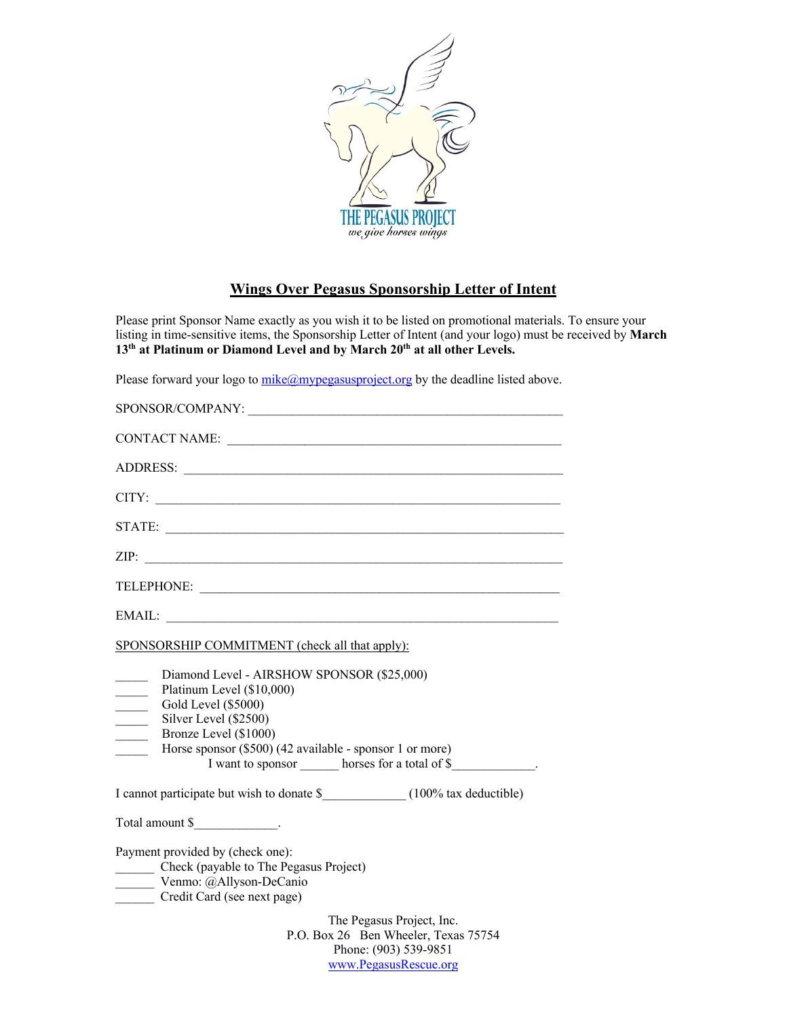

## **Wings Over Pegasus Sponsorship Letter of Intent**

Please print Sponsor Name exactly as you wish it to be listed on promotional materials. To ensure your listing in time-sensitive items, the Sponsorship Letter of Intent (and your logo) must be received by **March 13th at Platinum or Diamond Level and by March 20th at all other Levels.**

Please forward your logo to  $mike@mpegasusproject.org$  by the deadline listed above.

| SPONSOR/COMPANY:                                                                                                                                                                                                                                                                                        |
|---------------------------------------------------------------------------------------------------------------------------------------------------------------------------------------------------------------------------------------------------------------------------------------------------------|
|                                                                                                                                                                                                                                                                                                         |
|                                                                                                                                                                                                                                                                                                         |
|                                                                                                                                                                                                                                                                                                         |
| STATE:                                                                                                                                                                                                                                                                                                  |
|                                                                                                                                                                                                                                                                                                         |
| TELEPHONE:                                                                                                                                                                                                                                                                                              |
|                                                                                                                                                                                                                                                                                                         |
| SPONSORSHIP COMMITMENT (check all that apply):                                                                                                                                                                                                                                                          |
| Diamond Level - AIRSHOW SPONSOR (\$25,000)<br>Platinum Level (\$10,000)<br>Gold Level (\$5000)<br>$\overline{\phantom{a}}$<br>Silver Level (\$2500)<br>$\mathcal{L}$<br>Bronze Level (\$1000)<br>Horse sponsor (\$500) (42 available - sponsor 1 or more)<br>I want to sponsor horses for a total of \$ |
|                                                                                                                                                                                                                                                                                                         |
| Total amount \$_______________.                                                                                                                                                                                                                                                                         |
| Payment provided by (check one):<br>Check (payable to The Pegasus Project)<br>Venmo: @Allyson-DeCanio<br>Credit Card (see next page)                                                                                                                                                                    |
| The Pegasus Project, Inc.<br>P.O. Box 26 Ben Wheeler, Texas 75754<br>Phone: (903) 539-9851                                                                                                                                                                                                              |

www.PegasusRescue.org